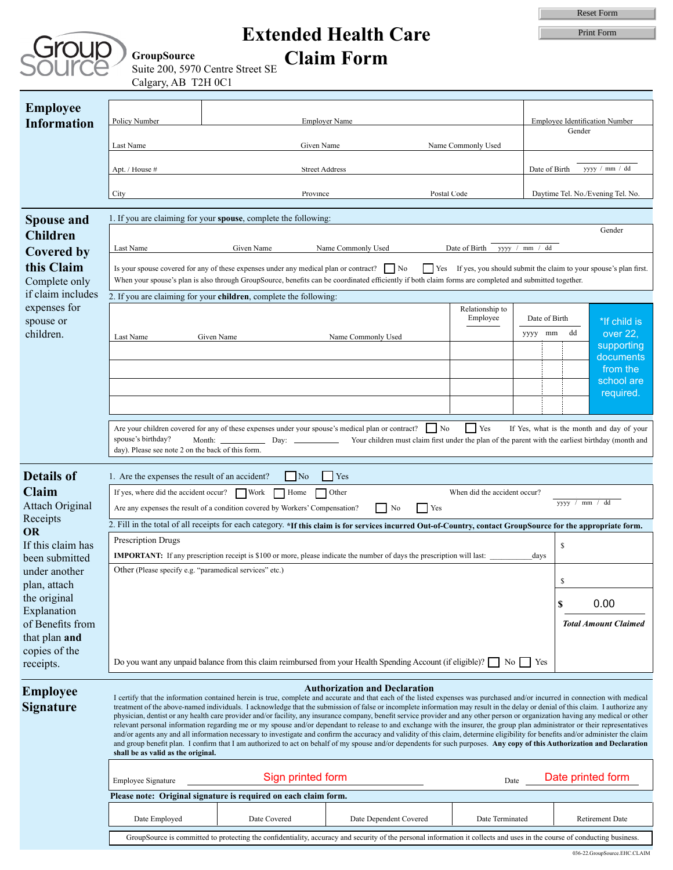|                            | <b>JrOUD</b> |
|----------------------------|--------------|
|                            |              |
| $\left\  \cdot \right\ _1$ |              |
|                            |              |

## **Extended Health Care Claim Form**

|                                                                 | <b>Extended Health Care</b>                                                                                                                                                                                    |                                                                                                                                                                                                                                                                                                                                                                 |                                                                                                                 |                                                                      |                                | <b>Reset Form</b>               |                                           |  |  |
|-----------------------------------------------------------------|----------------------------------------------------------------------------------------------------------------------------------------------------------------------------------------------------------------|-----------------------------------------------------------------------------------------------------------------------------------------------------------------------------------------------------------------------------------------------------------------------------------------------------------------------------------------------------------------|-----------------------------------------------------------------------------------------------------------------|----------------------------------------------------------------------|--------------------------------|---------------------------------|-------------------------------------------|--|--|
|                                                                 |                                                                                                                                                                                                                |                                                                                                                                                                                                                                                                                                                                                                 |                                                                                                                 |                                                                      |                                | Print Form                      |                                           |  |  |
|                                                                 |                                                                                                                                                                                                                |                                                                                                                                                                                                                                                                                                                                                                 |                                                                                                                 |                                                                      |                                |                                 |                                           |  |  |
|                                                                 | <b>GroupSource</b>                                                                                                                                                                                             | Suite 200, 5970 Centre Street SE                                                                                                                                                                                                                                                                                                                                | <b>Claim Form</b>                                                                                               |                                                                      |                                |                                 |                                           |  |  |
|                                                                 | Calgary, AB T2H 0C1                                                                                                                                                                                            |                                                                                                                                                                                                                                                                                                                                                                 |                                                                                                                 |                                                                      |                                |                                 |                                           |  |  |
|                                                                 |                                                                                                                                                                                                                |                                                                                                                                                                                                                                                                                                                                                                 |                                                                                                                 |                                                                      |                                |                                 |                                           |  |  |
| <b>Employee</b>                                                 |                                                                                                                                                                                                                |                                                                                                                                                                                                                                                                                                                                                                 |                                                                                                                 |                                                                      |                                |                                 |                                           |  |  |
| <b>Information</b>                                              | Policy Number                                                                                                                                                                                                  | <b>Employer Name</b>                                                                                                                                                                                                                                                                                                                                            |                                                                                                                 |                                                                      | Employee Identification Number |                                 |                                           |  |  |
|                                                                 | Last Name                                                                                                                                                                                                      | Given Name                                                                                                                                                                                                                                                                                                                                                      |                                                                                                                 | Name Commonly Used                                                   |                                | Gender                          |                                           |  |  |
|                                                                 |                                                                                                                                                                                                                |                                                                                                                                                                                                                                                                                                                                                                 |                                                                                                                 |                                                                      |                                |                                 |                                           |  |  |
|                                                                 | Apt. / House #                                                                                                                                                                                                 | <b>Street Address</b>                                                                                                                                                                                                                                                                                                                                           |                                                                                                                 |                                                                      |                                | yyyy / mm / dd<br>Date of Birth |                                           |  |  |
|                                                                 |                                                                                                                                                                                                                |                                                                                                                                                                                                                                                                                                                                                                 |                                                                                                                 |                                                                      |                                |                                 |                                           |  |  |
|                                                                 | City                                                                                                                                                                                                           | Province                                                                                                                                                                                                                                                                                                                                                        |                                                                                                                 | Postal Code                                                          |                                |                                 | Daytime Tel. No./Evening Tel. No.         |  |  |
| <b>Spouse and</b>                                               |                                                                                                                                                                                                                | 1. If you are claiming for your spouse, complete the following:                                                                                                                                                                                                                                                                                                 |                                                                                                                 |                                                                      |                                |                                 |                                           |  |  |
| <b>Children</b>                                                 | Gender                                                                                                                                                                                                         |                                                                                                                                                                                                                                                                                                                                                                 |                                                                                                                 |                                                                      |                                |                                 |                                           |  |  |
| <b>Covered by</b>                                               | yyyy / mm / dd<br>Given Name<br>Name Commonly Used<br>Date of Birth<br>Last Name                                                                                                                               |                                                                                                                                                                                                                                                                                                                                                                 |                                                                                                                 |                                                                      |                                |                                 |                                           |  |  |
| this Claim                                                      |                                                                                                                                                                                                                | Is your spouse covered for any of these expenses under any medical plan or contract?   No                                                                                                                                                                                                                                                                       |                                                                                                                 | Yes If yes, you should submit the claim to your spouse's plan first. |                                |                                 |                                           |  |  |
| Complete only                                                   |                                                                                                                                                                                                                | When your spouse's plan is also through GroupSource, benefits can be coordinated efficiently if both claim forms are completed and submitted together.                                                                                                                                                                                                          |                                                                                                                 |                                                                      |                                |                                 |                                           |  |  |
| if claim includes                                               |                                                                                                                                                                                                                | 2. If you are claiming for your children, complete the following:                                                                                                                                                                                                                                                                                               |                                                                                                                 |                                                                      |                                |                                 |                                           |  |  |
| expenses for                                                    |                                                                                                                                                                                                                |                                                                                                                                                                                                                                                                                                                                                                 |                                                                                                                 | Relationship to                                                      |                                |                                 |                                           |  |  |
| spouse or                                                       |                                                                                                                                                                                                                |                                                                                                                                                                                                                                                                                                                                                                 |                                                                                                                 | Employee                                                             |                                | Date of Birth                   | *If child is                              |  |  |
| children.                                                       | Last Name                                                                                                                                                                                                      | Given Name                                                                                                                                                                                                                                                                                                                                                      | Name Commonly Used                                                                                              |                                                                      | yyyy mm                        | dd                              | over 22,<br>supporting                    |  |  |
|                                                                 |                                                                                                                                                                                                                |                                                                                                                                                                                                                                                                                                                                                                 |                                                                                                                 |                                                                      |                                |                                 | documents                                 |  |  |
|                                                                 |                                                                                                                                                                                                                |                                                                                                                                                                                                                                                                                                                                                                 |                                                                                                                 |                                                                      |                                |                                 | from the                                  |  |  |
|                                                                 |                                                                                                                                                                                                                |                                                                                                                                                                                                                                                                                                                                                                 |                                                                                                                 |                                                                      |                                |                                 | school are<br>required.                   |  |  |
|                                                                 |                                                                                                                                                                                                                |                                                                                                                                                                                                                                                                                                                                                                 |                                                                                                                 |                                                                      |                                |                                 |                                           |  |  |
|                                                                 |                                                                                                                                                                                                                |                                                                                                                                                                                                                                                                                                                                                                 |                                                                                                                 |                                                                      |                                |                                 |                                           |  |  |
|                                                                 | spouse's birthday?                                                                                                                                                                                             | Are your children covered for any of these expenses under your spouse's medical plan or contract?<br>Month:<br>Day:                                                                                                                                                                                                                                             | $\vert$ No<br>Your children must claim first under the plan of the parent with the earliest birthday (month and | $\vert$ Yes                                                          |                                |                                 | If Yes, what is the month and day of your |  |  |
|                                                                 | day). Please see note 2 on the back of this form.                                                                                                                                                              |                                                                                                                                                                                                                                                                                                                                                                 |                                                                                                                 |                                                                      |                                |                                 |                                           |  |  |
|                                                                 |                                                                                                                                                                                                                |                                                                                                                                                                                                                                                                                                                                                                 |                                                                                                                 |                                                                      |                                |                                 |                                           |  |  |
| <b>Details of</b>                                               | 1. Are the expenses the result of an accident?                                                                                                                                                                 | $\overline{\phantom{1}}$ No                                                                                                                                                                                                                                                                                                                                     | l Yes                                                                                                           |                                                                      |                                |                                 |                                           |  |  |
| <b>Claim</b>                                                    | If yes, where did the accident occur? $\Box$ Work<br>Other<br>Home<br>When did the accident occur?<br>yyyy / mm / dd                                                                                           |                                                                                                                                                                                                                                                                                                                                                                 |                                                                                                                 |                                                                      |                                |                                 |                                           |  |  |
| <b>Attach Original</b><br>Receipts                              |                                                                                                                                                                                                                | Are any expenses the result of a condition covered by Workers' Compensation?                                                                                                                                                                                                                                                                                    | No<br>Yes                                                                                                       |                                                                      |                                |                                 |                                           |  |  |
| <b>OR</b>                                                       | 2. Fill in the total of all receipts for each category. *If this claim is for services incurred Out-of-Country, contact GroupSource for the appropriate form.                                                  |                                                                                                                                                                                                                                                                                                                                                                 |                                                                                                                 |                                                                      |                                |                                 |                                           |  |  |
| If this claim has                                               | Prescription Drugs                                                                                                                                                                                             |                                                                                                                                                                                                                                                                                                                                                                 |                                                                                                                 |                                                                      |                                | \$                              |                                           |  |  |
| been submitted                                                  | <b>IMPORTANT:</b> If any prescription receipt is \$100 or more, please indicate the number of days the prescription will last:<br>days                                                                         |                                                                                                                                                                                                                                                                                                                                                                 |                                                                                                                 |                                                                      |                                |                                 |                                           |  |  |
| under another                                                   |                                                                                                                                                                                                                | Other (Please specify e.g. "paramedical services" etc.)                                                                                                                                                                                                                                                                                                         |                                                                                                                 |                                                                      |                                | \$                              |                                           |  |  |
| plan, attach<br>the original                                    |                                                                                                                                                                                                                |                                                                                                                                                                                                                                                                                                                                                                 |                                                                                                                 |                                                                      |                                |                                 |                                           |  |  |
| Explanation                                                     |                                                                                                                                                                                                                |                                                                                                                                                                                                                                                                                                                                                                 |                                                                                                                 |                                                                      |                                | \$                              | 0.00                                      |  |  |
| of Benefits from                                                |                                                                                                                                                                                                                |                                                                                                                                                                                                                                                                                                                                                                 |                                                                                                                 |                                                                      |                                |                                 | <b>Total Amount Claimed</b>               |  |  |
| that plan and                                                   |                                                                                                                                                                                                                |                                                                                                                                                                                                                                                                                                                                                                 |                                                                                                                 |                                                                      |                                |                                 |                                           |  |  |
| copies of the                                                   | Do you want any unpaid balance from this claim reimbursed from your Health Spending Account (if eligible)? $\Box$ No<br>Yes                                                                                    |                                                                                                                                                                                                                                                                                                                                                                 |                                                                                                                 |                                                                      |                                |                                 |                                           |  |  |
| receipts.                                                       |                                                                                                                                                                                                                |                                                                                                                                                                                                                                                                                                                                                                 |                                                                                                                 |                                                                      |                                |                                 |                                           |  |  |
| <b>Employee</b>                                                 |                                                                                                                                                                                                                |                                                                                                                                                                                                                                                                                                                                                                 | <b>Authorization and Declaration</b>                                                                            |                                                                      |                                |                                 |                                           |  |  |
| <b>Signature</b>                                                |                                                                                                                                                                                                                | I certify that the information contained herein is true, complete and accurate and that each of the listed expenses was purchased and/or incurred in connection with medical<br>treatment of the above-named individuals. I acknowledge that the submission of false or incomplete information may result in the delay or denial of this claim. I authorize any |                                                                                                                 |                                                                      |                                |                                 |                                           |  |  |
|                                                                 |                                                                                                                                                                                                                | physician, dentist or any health care provider and/or facility, any insurance company, benefit service provider and any other person or organization having any medical or other<br>relevant personal information regarding me or my spouse and/or dependant to release to and exchange with the insurer, the group plan administrator or their representatives |                                                                                                                 |                                                                      |                                |                                 |                                           |  |  |
|                                                                 |                                                                                                                                                                                                                | and/or agents any and all information necessary to investigate and confirm the accuracy and validity of this claim, determine eligibility for benefits and/or administer the claim                                                                                                                                                                              |                                                                                                                 |                                                                      |                                |                                 |                                           |  |  |
|                                                                 | and group benefit plan. I confirm that I am authorized to act on behalf of my spouse and/or dependents for such purposes. Any copy of this Authorization and Declaration<br>shall be as valid as the original. |                                                                                                                                                                                                                                                                                                                                                                 |                                                                                                                 |                                                                      |                                |                                 |                                           |  |  |
|                                                                 |                                                                                                                                                                                                                |                                                                                                                                                                                                                                                                                                                                                                 |                                                                                                                 |                                                                      |                                |                                 |                                           |  |  |
|                                                                 | Sign printed form<br>Date printed form<br><b>Employee Signature</b><br>Date                                                                                                                                    |                                                                                                                                                                                                                                                                                                                                                                 |                                                                                                                 |                                                                      |                                |                                 |                                           |  |  |
| Please note: Original signature is required on each claim form. |                                                                                                                                                                                                                |                                                                                                                                                                                                                                                                                                                                                                 |                                                                                                                 |                                                                      |                                |                                 |                                           |  |  |
|                                                                 | Date Employed                                                                                                                                                                                                  | Date Covered                                                                                                                                                                                                                                                                                                                                                    | Date Dependent Covered                                                                                          | Date Terminated                                                      |                                |                                 | <b>Retirement Date</b>                    |  |  |
|                                                                 |                                                                                                                                                                                                                |                                                                                                                                                                                                                                                                                                                                                                 |                                                                                                                 |                                                                      |                                |                                 |                                           |  |  |
|                                                                 | GroupSource is committed to protecting the confidentiality, accuracy and security of the personal information it collects and uses in the course of conducting business.                                       |                                                                                                                                                                                                                                                                                                                                                                 |                                                                                                                 |                                                                      |                                |                                 |                                           |  |  |